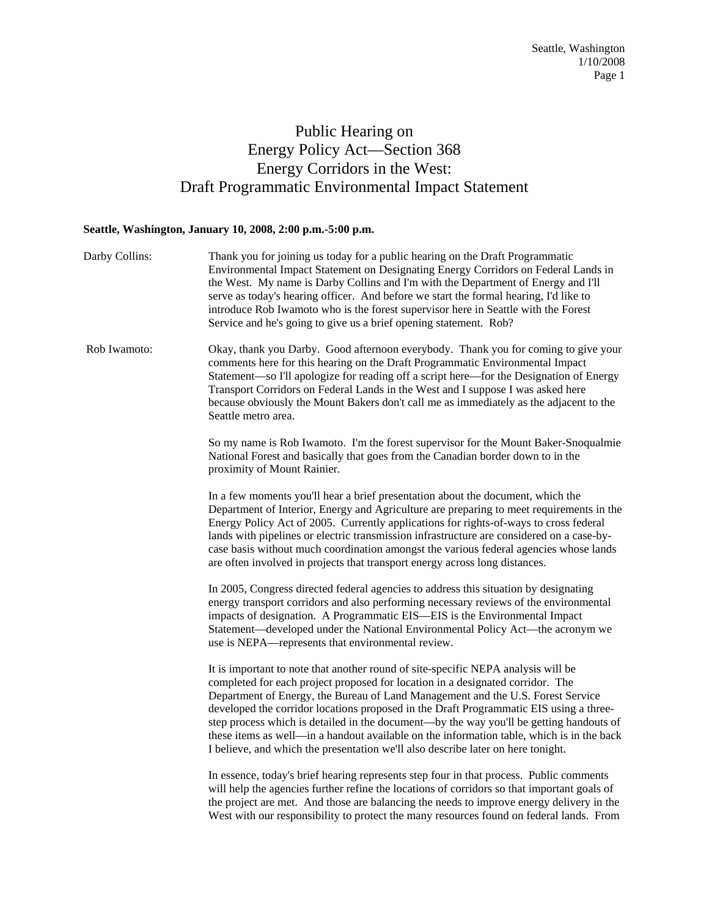## Public Hearing on Energy Policy Act—Section 368 Energy Corridors in the West: Draft Programmatic Environmental Impact Statement

## **Seattle, Washington, January 10, 2008, 2:00 p.m.-5:00 p.m.**

| Darby Collins: | Thank you for joining us today for a public hearing on the Draft Programmatic<br>Environmental Impact Statement on Designating Energy Corridors on Federal Lands in<br>the West. My name is Darby Collins and I'm with the Department of Energy and I'll<br>serve as today's hearing officer. And before we start the formal hearing, I'd like to<br>introduce Rob Iwamoto who is the forest supervisor here in Seattle with the Forest<br>Service and he's going to give us a brief opening statement. Rob?                                                                                                                 |
|----------------|------------------------------------------------------------------------------------------------------------------------------------------------------------------------------------------------------------------------------------------------------------------------------------------------------------------------------------------------------------------------------------------------------------------------------------------------------------------------------------------------------------------------------------------------------------------------------------------------------------------------------|
| Rob Iwamoto:   | Okay, thank you Darby. Good afternoon everybody. Thank you for coming to give your<br>comments here for this hearing on the Draft Programmatic Environmental Impact<br>Statement-so I'll apologize for reading off a script here-for the Designation of Energy<br>Transport Corridors on Federal Lands in the West and I suppose I was asked here<br>because obviously the Mount Bakers don't call me as immediately as the adjacent to the<br>Seattle metro area.                                                                                                                                                           |
|                | So my name is Rob Iwamoto. I'm the forest supervisor for the Mount Baker-Snoqualmie<br>National Forest and basically that goes from the Canadian border down to in the<br>proximity of Mount Rainier.                                                                                                                                                                                                                                                                                                                                                                                                                        |
|                | In a few moments you'll hear a brief presentation about the document, which the<br>Department of Interior, Energy and Agriculture are preparing to meet requirements in the<br>Energy Policy Act of 2005. Currently applications for rights-of-ways to cross federal<br>lands with pipelines or electric transmission infrastructure are considered on a case-by-<br>case basis without much coordination amongst the various federal agencies whose lands<br>are often involved in projects that transport energy across long distances.                                                                                    |
|                | In 2005, Congress directed federal agencies to address this situation by designating<br>energy transport corridors and also performing necessary reviews of the environmental<br>impacts of designation. A Programmatic EIS—EIS is the Environmental Impact<br>Statement—developed under the National Environmental Policy Act—the acronym we<br>use is NEPA—represents that environmental review.                                                                                                                                                                                                                           |
|                | It is important to note that another round of site-specific NEPA analysis will be<br>completed for each project proposed for location in a designated corridor. The<br>Department of Energy, the Bureau of Land Management and the U.S. Forest Service<br>developed the corridor locations proposed in the Draft Programmatic EIS using a three-<br>step process which is detailed in the document—by the way you'll be getting handouts of<br>these items as well—in a handout available on the information table, which is in the back<br>I believe, and which the presentation we'll also describe later on here tonight. |
|                | In essence, today's brief hearing represents step four in that process. Public comments<br>will help the agencies further refine the locations of corridors so that important goals of<br>the project are met. And those are balancing the needs to improve energy delivery in the<br>West with our responsibility to protect the many resources found on federal lands. From                                                                                                                                                                                                                                                |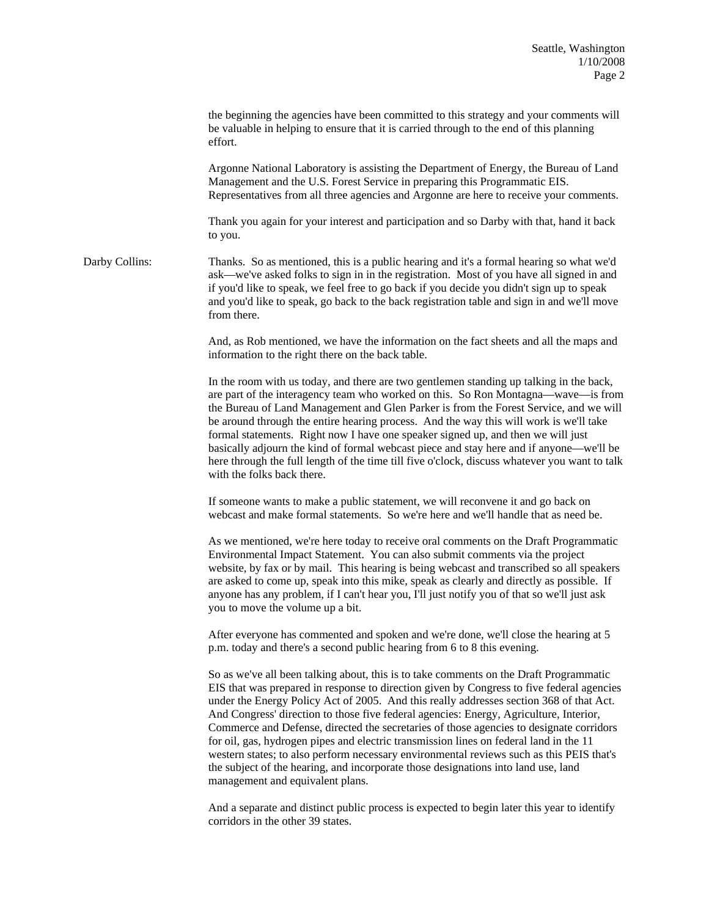the beginning the agencies have been committed to this strategy and your comments will be valuable in helping to ensure that it is carried through to the end of this planning effort. Argonne National Laboratory is assisting the Department of Energy, the Bureau of Land Management and the U.S. Forest Service in preparing this Programmatic EIS. Representatives from all three agencies and Argonne are here to receive your comments. Thank you again for your interest and participation and so Darby with that, hand it back to you. Darby Collins: Thanks. So as mentioned, this is a public hearing and it's a formal hearing so what we'd ask—we've asked folks to sign in in the registration. Most of you have all signed in and if you'd like to speak, we feel free to go back if you decide you didn't sign up to speak and you'd like to speak, go back to the back registration table and sign in and we'll move from there. And, as Rob mentioned, we have the information on the fact sheets and all the maps and information to the right there on the back table.

> In the room with us today, and there are two gentlemen standing up talking in the back, are part of the interagency team who worked on this. So Ron Montagna—wave—is from the Bureau of Land Management and Glen Parker is from the Forest Service, and we will be around through the entire hearing process. And the way this will work is we'll take formal statements. Right now I have one speaker signed up, and then we will just basically adjourn the kind of formal webcast piece and stay here and if anyone—we'll be here through the full length of the time till five o'clock, discuss whatever you want to talk with the folks back there.

If someone wants to make a public statement, we will reconvene it and go back on webcast and make formal statements. So we're here and we'll handle that as need be.

As we mentioned, we're here today to receive oral comments on the Draft Programmatic Environmental Impact Statement. You can also submit comments via the project website, by fax or by mail. This hearing is being webcast and transcribed so all speakers are asked to come up, speak into this mike, speak as clearly and directly as possible. If anyone has any problem, if I can't hear you, I'll just notify you of that so we'll just ask you to move the volume up a bit.

After everyone has commented and spoken and we're done, we'll close the hearing at 5 p.m. today and there's a second public hearing from 6 to 8 this evening.

So as we've all been talking about, this is to take comments on the Draft Programmatic EIS that was prepared in response to direction given by Congress to five federal agencies under the Energy Policy Act of 2005. And this really addresses section 368 of that Act. And Congress' direction to those five federal agencies: Energy, Agriculture, Interior, Commerce and Defense, directed the secretaries of those agencies to designate corridors for oil, gas, hydrogen pipes and electric transmission lines on federal land in the 11 western states; to also perform necessary environmental reviews such as this PEIS that's the subject of the hearing, and incorporate those designations into land use, land management and equivalent plans.

And a separate and distinct public process is expected to begin later this year to identify corridors in the other 39 states.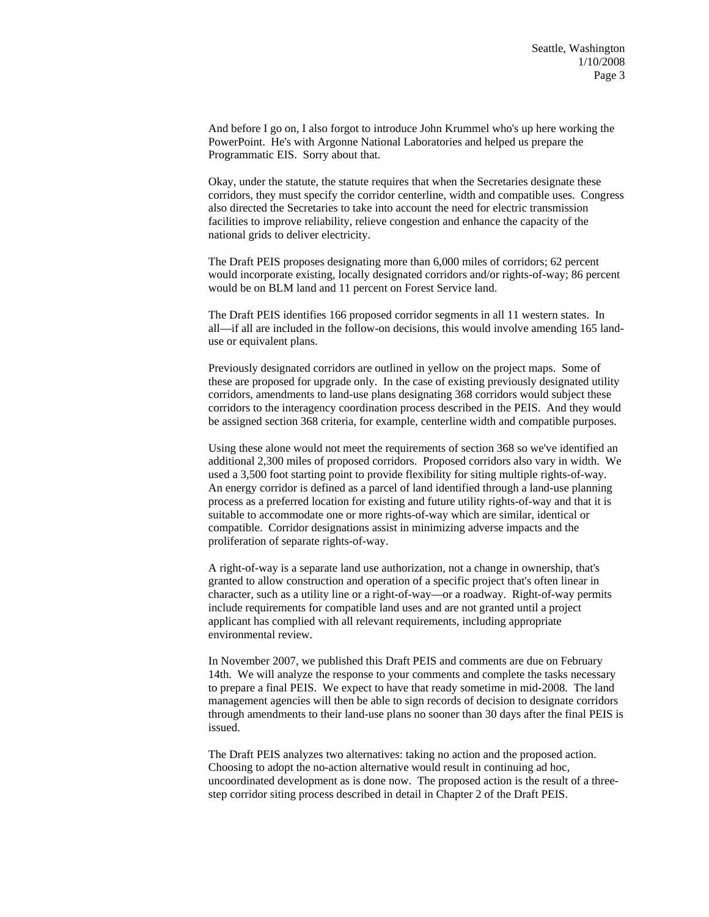And before I go on, I also forgot to introduce John Krummel who's up here working the PowerPoint. He's with Argonne National Laboratories and helped us prepare the Programmatic EIS. Sorry about that.

Okay, under the statute, the statute requires that when the Secretaries designate these corridors, they must specify the corridor centerline, width and compatible uses. Congress also directed the Secretaries to take into account the need for electric transmission facilities to improve reliability, relieve congestion and enhance the capacity of the national grids to deliver electricity.

The Draft PEIS proposes designating more than 6,000 miles of corridors; 62 percent would incorporate existing, locally designated corridors and/or rights-of-way; 86 percent would be on BLM land and 11 percent on Forest Service land.

The Draft PEIS identifies 166 proposed corridor segments in all 11 western states. In all—if all are included in the follow-on decisions, this would involve amending 165 landuse or equivalent plans.

Previously designated corridors are outlined in yellow on the project maps. Some of these are proposed for upgrade only. In the case of existing previously designated utility corridors, amendments to land-use plans designating 368 corridors would subject these corridors to the interagency coordination process described in the PEIS. And they would be assigned section 368 criteria, for example, centerline width and compatible purposes.

Using these alone would not meet the requirements of section 368 so we've identified an additional 2,300 miles of proposed corridors. Proposed corridors also vary in width. We used a 3,500 foot starting point to provide flexibility for siting multiple rights-of-way. An energy corridor is defined as a parcel of land identified through a land-use planning process as a preferred location for existing and future utility rights-of-way and that it is suitable to accommodate one or more rights-of-way which are similar, identical or compatible. Corridor designations assist in minimizing adverse impacts and the proliferation of separate rights-of-way.

A right-of-way is a separate land use authorization, not a change in ownership, that's granted to allow construction and operation of a specific project that's often linear in character, such as a utility line or a right-of-way—or a roadway. Right-of-way permits include requirements for compatible land uses and are not granted until a project applicant has complied with all relevant requirements, including appropriate environmental review.

In November 2007, we published this Draft PEIS and comments are due on February 14th. We will analyze the response to your comments and complete the tasks necessary to prepare a final PEIS. We expect to have that ready sometime in mid-2008. The land management agencies will then be able to sign records of decision to designate corridors through amendments to their land-use plans no sooner than 30 days after the final PEIS is issued.

The Draft PEIS analyzes two alternatives: taking no action and the proposed action. Choosing to adopt the no-action alternative would result in continuing ad hoc, uncoordinated development as is done now. The proposed action is the result of a threestep corridor siting process described in detail in Chapter 2 of the Draft PEIS.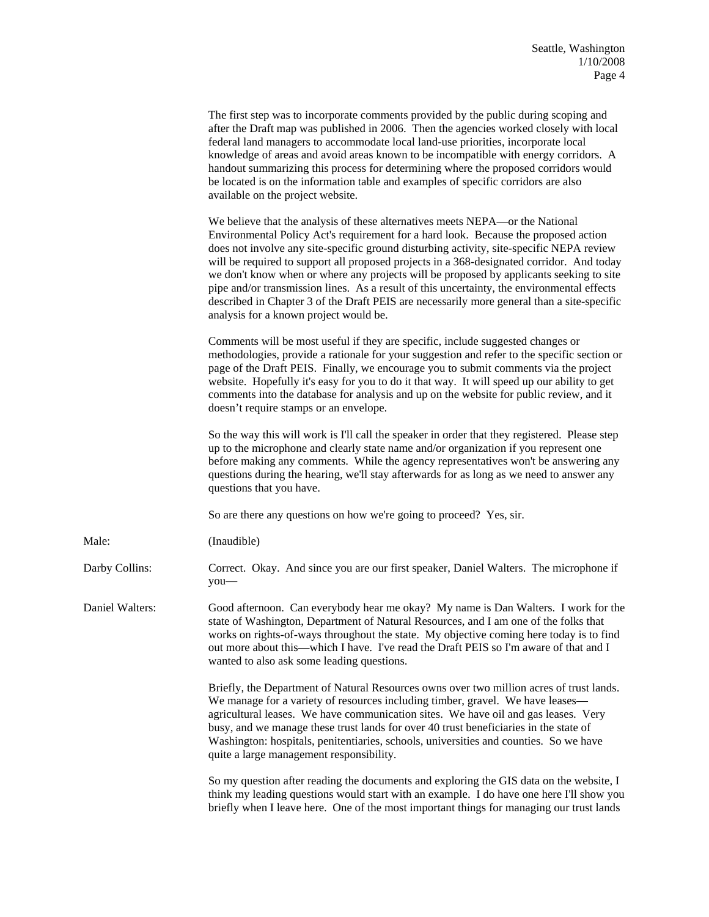|                 | The first step was to incorporate comments provided by the public during scoping and<br>after the Draft map was published in 2006. Then the agencies worked closely with local<br>federal land managers to accommodate local land-use priorities, incorporate local<br>knowledge of areas and avoid areas known to be incompatible with energy corridors. A<br>handout summarizing this process for determining where the proposed corridors would<br>be located is on the information table and examples of specific corridors are also<br>available on the project website.                                                                                                                  |
|-----------------|------------------------------------------------------------------------------------------------------------------------------------------------------------------------------------------------------------------------------------------------------------------------------------------------------------------------------------------------------------------------------------------------------------------------------------------------------------------------------------------------------------------------------------------------------------------------------------------------------------------------------------------------------------------------------------------------|
|                 | We believe that the analysis of these alternatives meets NEPA—or the National<br>Environmental Policy Act's requirement for a hard look. Because the proposed action<br>does not involve any site-specific ground disturbing activity, site-specific NEPA review<br>will be required to support all proposed projects in a 368-designated corridor. And today<br>we don't know when or where any projects will be proposed by applicants seeking to site<br>pipe and/or transmission lines. As a result of this uncertainty, the environmental effects<br>described in Chapter 3 of the Draft PEIS are necessarily more general than a site-specific<br>analysis for a known project would be. |
|                 | Comments will be most useful if they are specific, include suggested changes or<br>methodologies, provide a rationale for your suggestion and refer to the specific section or<br>page of the Draft PEIS. Finally, we encourage you to submit comments via the project<br>website. Hopefully it's easy for you to do it that way. It will speed up our ability to get<br>comments into the database for analysis and up on the website for public review, and it<br>doesn't require stamps or an envelope.                                                                                                                                                                                     |
|                 | So the way this will work is I'll call the speaker in order that they registered. Please step<br>up to the microphone and clearly state name and/or organization if you represent one<br>before making any comments. While the agency representatives won't be answering any<br>questions during the hearing, we'll stay afterwards for as long as we need to answer any<br>questions that you have.                                                                                                                                                                                                                                                                                           |
|                 | So are there any questions on how we're going to proceed? Yes, sir.                                                                                                                                                                                                                                                                                                                                                                                                                                                                                                                                                                                                                            |
| Male:           | (Inaudible)                                                                                                                                                                                                                                                                                                                                                                                                                                                                                                                                                                                                                                                                                    |
| Darby Collins:  | Correct. Okay. And since you are our first speaker, Daniel Walters. The microphone if<br>you-                                                                                                                                                                                                                                                                                                                                                                                                                                                                                                                                                                                                  |
| Daniel Walters: | Good afternoon. Can everybody hear me okay? My name is Dan Walters. I work for the<br>state of Washington, Department of Natural Resources, and I am one of the folks that<br>works on rights-of-ways throughout the state. My objective coming here today is to find<br>out more about this—which I have. I've read the Draft PEIS so I'm aware of that and I<br>wanted to also ask some leading questions.                                                                                                                                                                                                                                                                                   |
|                 | Briefly, the Department of Natural Resources owns over two million acres of trust lands.<br>We manage for a variety of resources including timber, gravel. We have leases-<br>agricultural leases. We have communication sites. We have oil and gas leases. Very<br>busy, and we manage these trust lands for over 40 trust beneficiaries in the state of<br>Washington: hospitals, penitentiaries, schools, universities and counties. So we have<br>quite a large management responsibility.                                                                                                                                                                                                 |
|                 | So my question after reading the documents and exploring the GIS data on the website, I<br>think my leading questions would start with an example. I do have one here I'll show you<br>briefly when I leave here. One of the most important things for managing our trust lands                                                                                                                                                                                                                                                                                                                                                                                                                |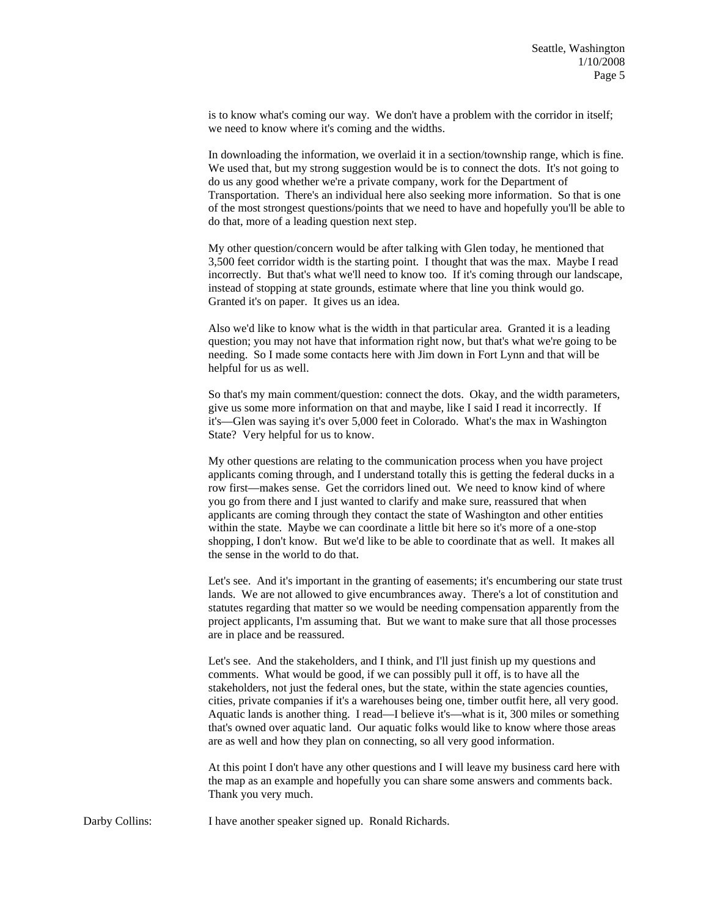is to know what's coming our way. We don't have a problem with the corridor in itself; we need to know where it's coming and the widths.

In downloading the information, we overlaid it in a section/township range, which is fine. We used that, but my strong suggestion would be is to connect the dots. It's not going to do us any good whether we're a private company, work for the Department of Transportation. There's an individual here also seeking more information. So that is one of the most strongest questions/points that we need to have and hopefully you'll be able to do that, more of a leading question next step.

My other question/concern would be after talking with Glen today, he mentioned that 3,500 feet corridor width is the starting point. I thought that was the max. Maybe I read incorrectly. But that's what we'll need to know too. If it's coming through our landscape, instead of stopping at state grounds, estimate where that line you think would go. Granted it's on paper. It gives us an idea.

Also we'd like to know what is the width in that particular area. Granted it is a leading question; you may not have that information right now, but that's what we're going to be needing. So I made some contacts here with Jim down in Fort Lynn and that will be helpful for us as well.

So that's my main comment/question: connect the dots. Okay, and the width parameters, give us some more information on that and maybe, like I said I read it incorrectly. If it's—Glen was saying it's over 5,000 feet in Colorado. What's the max in Washington State? Very helpful for us to know.

My other questions are relating to the communication process when you have project applicants coming through, and I understand totally this is getting the federal ducks in a row first—makes sense. Get the corridors lined out. We need to know kind of where you go from there and I just wanted to clarify and make sure, reassured that when applicants are coming through they contact the state of Washington and other entities within the state. Maybe we can coordinate a little bit here so it's more of a one-stop shopping, I don't know. But we'd like to be able to coordinate that as well. It makes all the sense in the world to do that.

Let's see. And it's important in the granting of easements; it's encumbering our state trust lands. We are not allowed to give encumbrances away. There's a lot of constitution and statutes regarding that matter so we would be needing compensation apparently from the project applicants, I'm assuming that. But we want to make sure that all those processes are in place and be reassured.

Let's see. And the stakeholders, and I think, and I'll just finish up my questions and comments. What would be good, if we can possibly pull it off, is to have all the stakeholders, not just the federal ones, but the state, within the state agencies counties, cities, private companies if it's a warehouses being one, timber outfit here, all very good. Aquatic lands is another thing. I read—I believe it's—what is it, 300 miles or something that's owned over aquatic land. Our aquatic folks would like to know where those areas are as well and how they plan on connecting, so all very good information.

At this point I don't have any other questions and I will leave my business card here with the map as an example and hopefully you can share some answers and comments back. Thank you very much.

Darby Collins: I have another speaker signed up. Ronald Richards.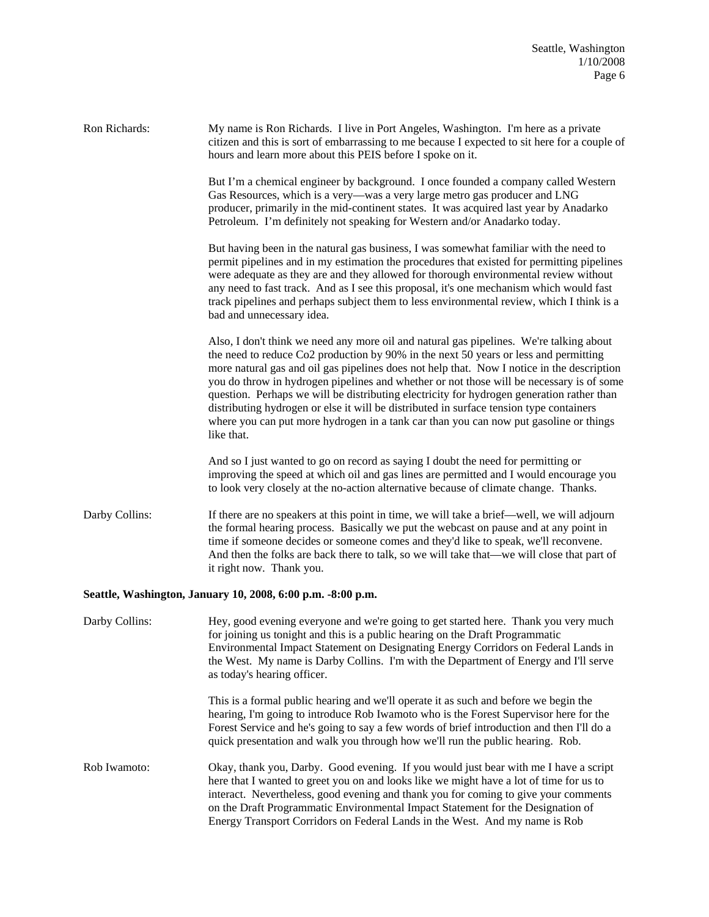Ron Richards: My name is Ron Richards. I live in Port Angeles, Washington. I'm here as a private citizen and this is sort of embarrassing to me because I expected to sit here for a couple of hours and learn more about this PEIS before I spoke on it. But I'm a chemical engineer by background. I once founded a company called Western Gas Resources, which is a very—was a very large metro gas producer and LNG producer, primarily in the mid-continent states. It was acquired last year by Anadarko Petroleum. I'm definitely not speaking for Western and/or Anadarko today. But having been in the natural gas business, I was somewhat familiar with the need to permit pipelines and in my estimation the procedures that existed for permitting pipelines were adequate as they are and they allowed for thorough environmental review without any need to fast track. And as I see this proposal, it's one mechanism which would fast track pipelines and perhaps subject them to less environmental review, which I think is a bad and unnecessary idea. Also, I don't think we need any more oil and natural gas pipelines. We're talking about the need to reduce Co2 production by 90% in the next 50 years or less and permitting more natural gas and oil gas pipelines does not help that. Now I notice in the description you do throw in hydrogen pipelines and whether or not those will be necessary is of some question. Perhaps we will be distributing electricity for hydrogen generation rather than distributing hydrogen or else it will be distributed in surface tension type containers where you can put more hydrogen in a tank car than you can now put gasoline or things like that. And so I just wanted to go on record as saying I doubt the need for permitting or improving the speed at which oil and gas lines are permitted and I would encourage you to look very closely at the no-action alternative because of climate change. Thanks. Darby Collins: If there are no speakers at this point in time, we will take a brief—well, we will adjourn the formal hearing process. Basically we put the webcast on pause and at any point in time if someone decides or someone comes and they'd like to speak, we'll reconvene. And then the folks are back there to talk, so we will take that—we will close that part of it right now. Thank you. **Seattle, Washington, January 10, 2008, 6:00 p.m. -8:00 p.m.**  Darby Collins: Hey, good evening everyone and we're going to get started here. Thank you very much for joining us tonight and this is a public hearing on the Draft Programmatic Environmental Impact Statement on Designating Energy Corridors on Federal Lands in the West. My name is Darby Collins. I'm with the Department of Energy and I'll serve as today's hearing officer. This is a formal public hearing and we'll operate it as such and before we begin the hearing, I'm going to introduce Rob Iwamoto who is the Forest Supervisor here for the Forest Service and he's going to say a few words of brief introduction and then I'll do a quick presentation and walk you through how we'll run the public hearing. Rob. Rob Iwamoto: Okay, thank you, Darby. Good evening. If you would just bear with me I have a script here that I wanted to greet you on and looks like we might have a lot of time for us to interact. Nevertheless, good evening and thank you for coming to give your comments on the Draft Programmatic Environmental Impact Statement for the Designation of

Energy Transport Corridors on Federal Lands in the West. And my name is Rob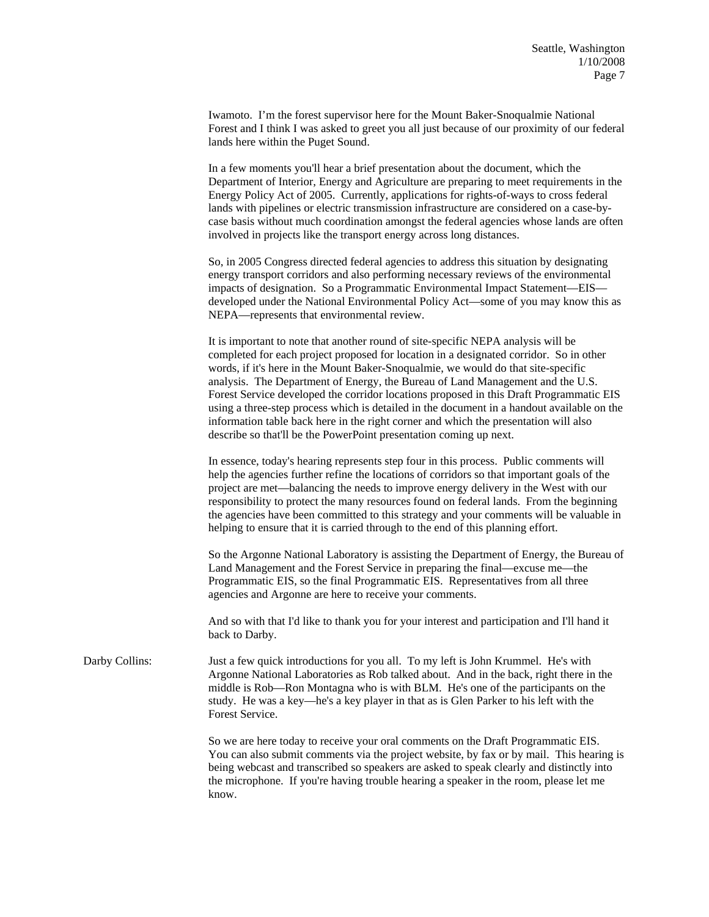Iwamoto. I'm the forest supervisor here for the Mount Baker-Snoqualmie National Forest and I think I was asked to greet you all just because of our proximity of our federal lands here within the Puget Sound.

In a few moments you'll hear a brief presentation about the document, which the Department of Interior, Energy and Agriculture are preparing to meet requirements in the Energy Policy Act of 2005. Currently, applications for rights-of-ways to cross federal lands with pipelines or electric transmission infrastructure are considered on a case-bycase basis without much coordination amongst the federal agencies whose lands are often involved in projects like the transport energy across long distances.

So, in 2005 Congress directed federal agencies to address this situation by designating energy transport corridors and also performing necessary reviews of the environmental impacts of designation. So a Programmatic Environmental Impact Statement—EIS developed under the National Environmental Policy Act—some of you may know this as NEPA—represents that environmental review.

It is important to note that another round of site-specific NEPA analysis will be completed for each project proposed for location in a designated corridor. So in other words, if it's here in the Mount Baker-Snoqualmie, we would do that site-specific analysis. The Department of Energy, the Bureau of Land Management and the U.S. Forest Service developed the corridor locations proposed in this Draft Programmatic EIS using a three-step process which is detailed in the document in a handout available on the information table back here in the right corner and which the presentation will also describe so that'll be the PowerPoint presentation coming up next.

In essence, today's hearing represents step four in this process. Public comments will help the agencies further refine the locations of corridors so that important goals of the project are met—balancing the needs to improve energy delivery in the West with our responsibility to protect the many resources found on federal lands. From the beginning the agencies have been committed to this strategy and your comments will be valuable in helping to ensure that it is carried through to the end of this planning effort.

So the Argonne National Laboratory is assisting the Department of Energy, the Bureau of Land Management and the Forest Service in preparing the final—excuse me—the Programmatic EIS, so the final Programmatic EIS. Representatives from all three agencies and Argonne are here to receive your comments.

And so with that I'd like to thank you for your interest and participation and I'll hand it back to Darby.

Darby Collins: Just a few quick introductions for you all. To my left is John Krummel. He's with Argonne National Laboratories as Rob talked about. And in the back, right there in the middle is Rob—Ron Montagna who is with BLM. He's one of the participants on the study. He was a key—he's a key player in that as is Glen Parker to his left with the Forest Service.

> So we are here today to receive your oral comments on the Draft Programmatic EIS. You can also submit comments via the project website, by fax or by mail. This hearing is being webcast and transcribed so speakers are asked to speak clearly and distinctly into the microphone. If you're having trouble hearing a speaker in the room, please let me know.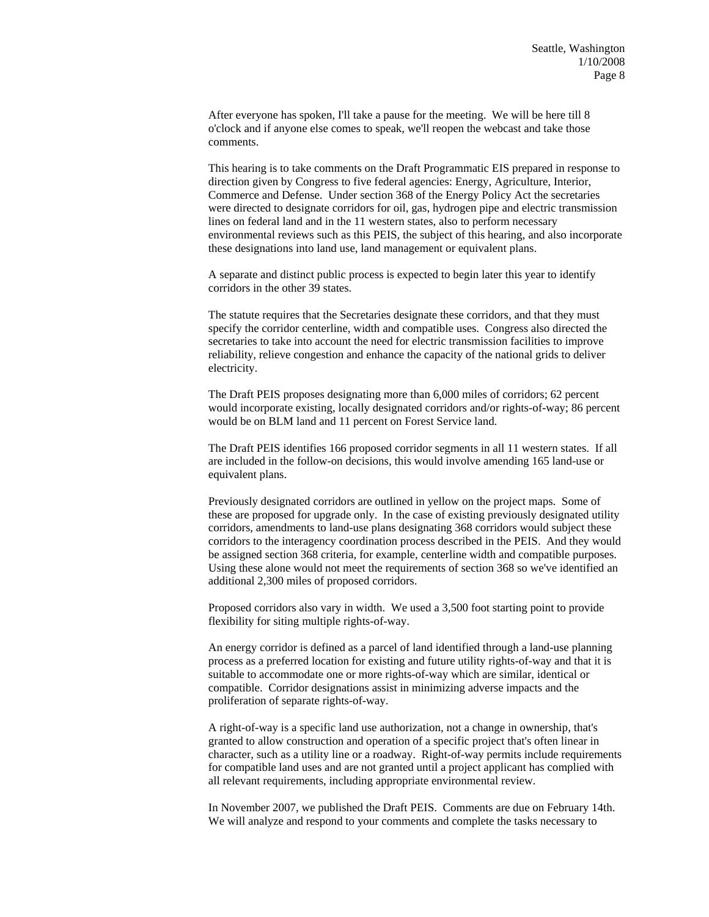After everyone has spoken, I'll take a pause for the meeting. We will be here till 8 o'clock and if anyone else comes to speak, we'll reopen the webcast and take those comments.

This hearing is to take comments on the Draft Programmatic EIS prepared in response to direction given by Congress to five federal agencies: Energy, Agriculture, Interior, Commerce and Defense. Under section 368 of the Energy Policy Act the secretaries were directed to designate corridors for oil, gas, hydrogen pipe and electric transmission lines on federal land and in the 11 western states, also to perform necessary environmental reviews such as this PEIS, the subject of this hearing, and also incorporate these designations into land use, land management or equivalent plans.

A separate and distinct public process is expected to begin later this year to identify corridors in the other 39 states.

The statute requires that the Secretaries designate these corridors, and that they must specify the corridor centerline, width and compatible uses. Congress also directed the secretaries to take into account the need for electric transmission facilities to improve reliability, relieve congestion and enhance the capacity of the national grids to deliver electricity.

The Draft PEIS proposes designating more than 6,000 miles of corridors; 62 percent would incorporate existing, locally designated corridors and/or rights-of-way; 86 percent would be on BLM land and 11 percent on Forest Service land.

The Draft PEIS identifies 166 proposed corridor segments in all 11 western states. If all are included in the follow-on decisions, this would involve amending 165 land-use or equivalent plans.

Previously designated corridors are outlined in yellow on the project maps. Some of these are proposed for upgrade only. In the case of existing previously designated utility corridors, amendments to land-use plans designating 368 corridors would subject these corridors to the interagency coordination process described in the PEIS. And they would be assigned section 368 criteria, for example, centerline width and compatible purposes. Using these alone would not meet the requirements of section 368 so we've identified an additional 2,300 miles of proposed corridors.

Proposed corridors also vary in width. We used a 3,500 foot starting point to provide flexibility for siting multiple rights-of-way.

An energy corridor is defined as a parcel of land identified through a land-use planning process as a preferred location for existing and future utility rights-of-way and that it is suitable to accommodate one or more rights-of-way which are similar, identical or compatible. Corridor designations assist in minimizing adverse impacts and the proliferation of separate rights-of-way.

A right-of-way is a specific land use authorization, not a change in ownership, that's granted to allow construction and operation of a specific project that's often linear in character, such as a utility line or a roadway. Right-of-way permits include requirements for compatible land uses and are not granted until a project applicant has complied with all relevant requirements, including appropriate environmental review.

In November 2007, we published the Draft PEIS. Comments are due on February 14th. We will analyze and respond to your comments and complete the tasks necessary to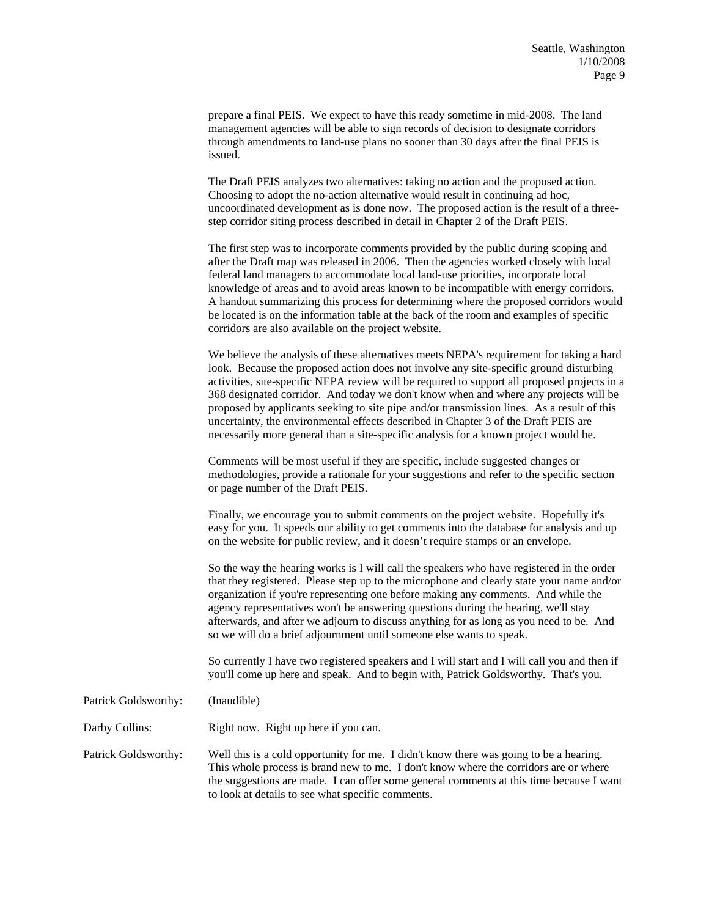prepare a final PEIS. We expect to have this ready sometime in mid-2008. The land management agencies will be able to sign records of decision to designate corridors through amendments to land-use plans no sooner than 30 days after the final PEIS is issued.

The Draft PEIS analyzes two alternatives: taking no action and the proposed action. Choosing to adopt the no-action alternative would result in continuing ad hoc, uncoordinated development as is done now. The proposed action is the result of a threestep corridor siting process described in detail in Chapter 2 of the Draft PEIS.

The first step was to incorporate comments provided by the public during scoping and after the Draft map was released in 2006. Then the agencies worked closely with local federal land managers to accommodate local land-use priorities, incorporate local knowledge of areas and to avoid areas known to be incompatible with energy corridors. A handout summarizing this process for determining where the proposed corridors would be located is on the information table at the back of the room and examples of specific corridors are also available on the project website.

We believe the analysis of these alternatives meets NEPA's requirement for taking a hard look. Because the proposed action does not involve any site-specific ground disturbing activities, site-specific NEPA review will be required to support all proposed projects in a 368 designated corridor. And today we don't know when and where any projects will be proposed by applicants seeking to site pipe and/or transmission lines. As a result of this uncertainty, the environmental effects described in Chapter 3 of the Draft PEIS are necessarily more general than a site-specific analysis for a known project would be.

Comments will be most useful if they are specific, include suggested changes or methodologies, provide a rationale for your suggestions and refer to the specific section or page number of the Draft PEIS.

Finally, we encourage you to submit comments on the project website. Hopefully it's easy for you. It speeds our ability to get comments into the database for analysis and up on the website for public review, and it doesn't require stamps or an envelope.

So the way the hearing works is I will call the speakers who have registered in the order that they registered. Please step up to the microphone and clearly state your name and/or organization if you're representing one before making any comments. And while the agency representatives won't be answering questions during the hearing, we'll stay afterwards, and after we adjourn to discuss anything for as long as you need to be. And so we will do a brief adjournment until someone else wants to speak.

So currently I have two registered speakers and I will start and I will call you and then if you'll come up here and speak. And to begin with, Patrick Goldsworthy. That's you.

Patrick Goldsworthy: (Inaudible)

Darby Collins: Right now. Right up here if you can.

Patrick Goldsworthy: Well this is a cold opportunity for me. I didn't know there was going to be a hearing. This whole process is brand new to me. I don't know where the corridors are or where the suggestions are made. I can offer some general comments at this time because I want to look at details to see what specific comments.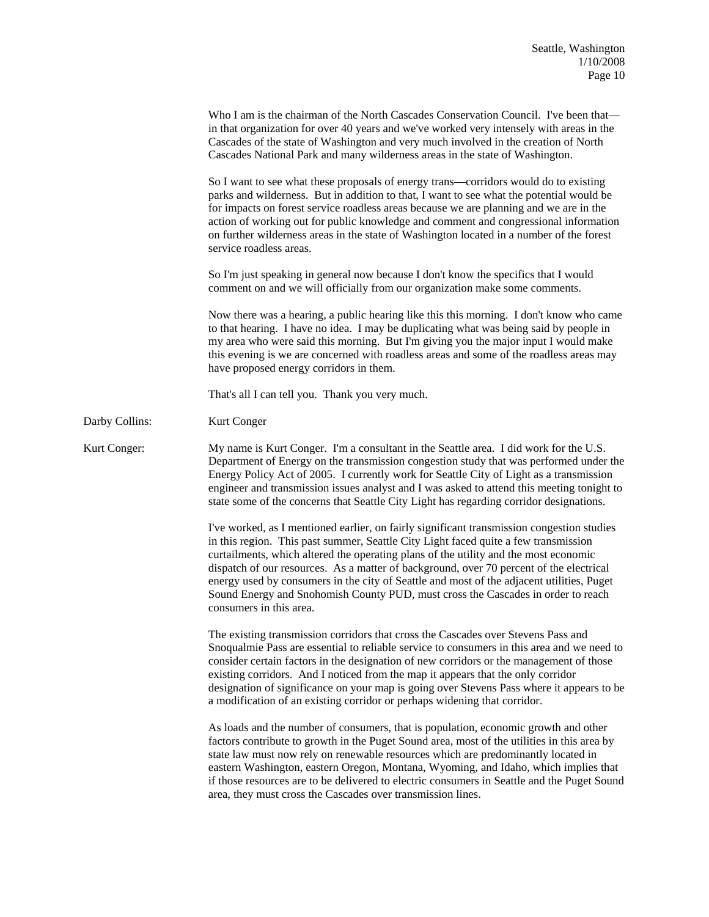|                | Who I am is the chairman of the North Cascades Conservation Council. I've been that—<br>in that organization for over 40 years and we've worked very intensely with areas in the<br>Cascades of the state of Washington and very much involved in the creation of North<br>Cascades National Park and many wilderness areas in the state of Washington.                                                                                                                                                                                                                          |
|----------------|----------------------------------------------------------------------------------------------------------------------------------------------------------------------------------------------------------------------------------------------------------------------------------------------------------------------------------------------------------------------------------------------------------------------------------------------------------------------------------------------------------------------------------------------------------------------------------|
|                | So I want to see what these proposals of energy trans-corridors would do to existing<br>parks and wilderness. But in addition to that, I want to see what the potential would be<br>for impacts on forest service roadless areas because we are planning and we are in the<br>action of working out for public knowledge and comment and congressional information<br>on further wilderness areas in the state of Washington located in a number of the forest<br>service roadless areas.                                                                                        |
|                | So I'm just speaking in general now because I don't know the specifics that I would<br>comment on and we will officially from our organization make some comments.                                                                                                                                                                                                                                                                                                                                                                                                               |
|                | Now there was a hearing, a public hearing like this this morning. I don't know who came<br>to that hearing. I have no idea. I may be duplicating what was being said by people in<br>my area who were said this morning. But I'm giving you the major input I would make<br>this evening is we are concerned with roadless areas and some of the roadless areas may<br>have proposed energy corridors in them.                                                                                                                                                                   |
|                | That's all I can tell you. Thank you very much.                                                                                                                                                                                                                                                                                                                                                                                                                                                                                                                                  |
| Darby Collins: | Kurt Conger                                                                                                                                                                                                                                                                                                                                                                                                                                                                                                                                                                      |
| Kurt Conger:   | My name is Kurt Conger. I'm a consultant in the Seattle area. I did work for the U.S.<br>Department of Energy on the transmission congestion study that was performed under the<br>Energy Policy Act of 2005. I currently work for Seattle City of Light as a transmission<br>engineer and transmission issues analyst and I was asked to attend this meeting tonight to<br>state some of the concerns that Seattle City Light has regarding corridor designations.                                                                                                              |
|                | I've worked, as I mentioned earlier, on fairly significant transmission congestion studies<br>in this region. This past summer, Seattle City Light faced quite a few transmission<br>curtailments, which altered the operating plans of the utility and the most economic<br>dispatch of our resources. As a matter of background, over 70 percent of the electrical<br>energy used by consumers in the city of Seattle and most of the adjacent utilities, Puget<br>Sound Energy and Snohomish County PUD, must cross the Cascades in order to reach<br>consumers in this area. |
|                | The existing transmission corridors that cross the Cascades over Stevens Pass and<br>Snoqualmie Pass are essential to reliable service to consumers in this area and we need to<br>consider certain factors in the designation of new corridors or the management of those<br>existing corridors. And I noticed from the map it appears that the only corridor<br>designation of significance on your map is going over Stevens Pass where it appears to be<br>a modification of an existing corridor or perhaps widening that corridor.                                         |
|                | As loads and the number of consumers, that is population, economic growth and other<br>factors contribute to growth in the Puget Sound area, most of the utilities in this area by<br>state law must now rely on renewable resources which are predominantly located in<br>eastern Washington, eastern Oregon, Montana, Wyoming, and Idaho, which implies that<br>if those resources are to be delivered to electric consumers in Seattle and the Puget Sound<br>area, they must cross the Cascades over transmission lines.                                                     |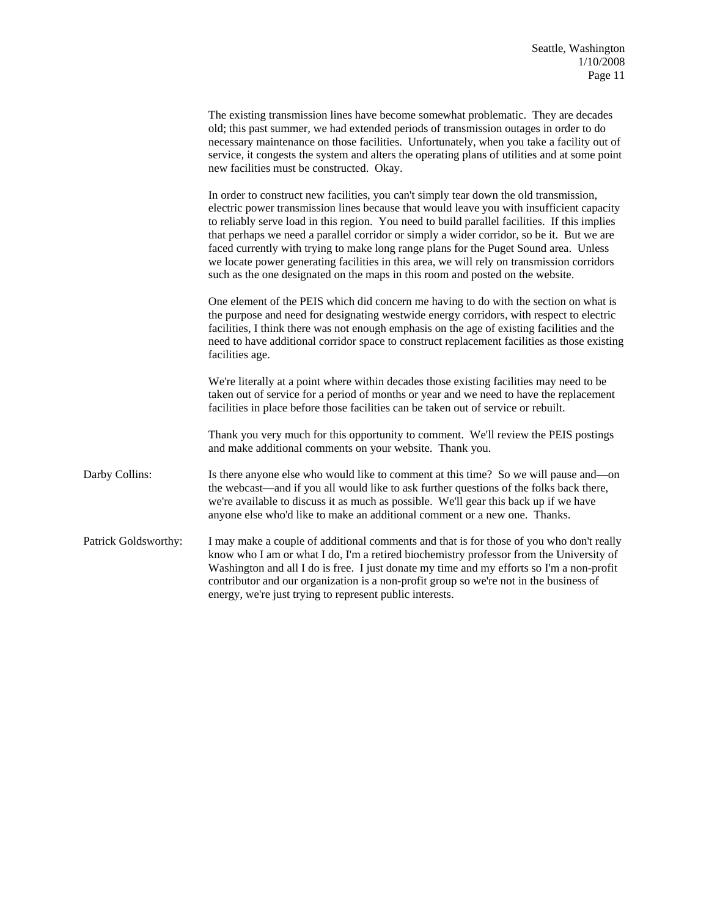|                      | The existing transmission lines have become somewhat problematic. They are decades<br>old; this past summer, we had extended periods of transmission outages in order to do<br>necessary maintenance on those facilities. Unfortunately, when you take a facility out of<br>service, it congests the system and alters the operating plans of utilities and at some point<br>new facilities must be constructed. Okay.                                                                                                                                                                                                                                     |
|----------------------|------------------------------------------------------------------------------------------------------------------------------------------------------------------------------------------------------------------------------------------------------------------------------------------------------------------------------------------------------------------------------------------------------------------------------------------------------------------------------------------------------------------------------------------------------------------------------------------------------------------------------------------------------------|
|                      | In order to construct new facilities, you can't simply tear down the old transmission,<br>electric power transmission lines because that would leave you with insufficient capacity<br>to reliably serve load in this region. You need to build parallel facilities. If this implies<br>that perhaps we need a parallel corridor or simply a wider corridor, so be it. But we are<br>faced currently with trying to make long range plans for the Puget Sound area. Unless<br>we locate power generating facilities in this area, we will rely on transmission corridors<br>such as the one designated on the maps in this room and posted on the website. |
|                      | One element of the PEIS which did concern me having to do with the section on what is<br>the purpose and need for designating westwide energy corridors, with respect to electric<br>facilities, I think there was not enough emphasis on the age of existing facilities and the<br>need to have additional corridor space to construct replacement facilities as those existing<br>facilities age.                                                                                                                                                                                                                                                        |
|                      | We're literally at a point where within decades those existing facilities may need to be<br>taken out of service for a period of months or year and we need to have the replacement<br>facilities in place before those facilities can be taken out of service or rebuilt.                                                                                                                                                                                                                                                                                                                                                                                 |
|                      | Thank you very much for this opportunity to comment. We'll review the PEIS postings<br>and make additional comments on your website. Thank you.                                                                                                                                                                                                                                                                                                                                                                                                                                                                                                            |
| Darby Collins:       | Is there anyone else who would like to comment at this time? So we will pause and—on<br>the webcast—and if you all would like to ask further questions of the folks back there,<br>we're available to discuss it as much as possible. We'll gear this back up if we have<br>anyone else who'd like to make an additional comment or a new one. Thanks.                                                                                                                                                                                                                                                                                                     |
| Patrick Goldsworthy: | I may make a couple of additional comments and that is for those of you who don't really<br>know who I am or what I do, I'm a retired biochemistry professor from the University of<br>Washington and all I do is free. I just donate my time and my efforts so I'm a non-profit<br>contributor and our organization is a non-profit group so we're not in the business of<br>energy, we're just trying to represent public interests.                                                                                                                                                                                                                     |